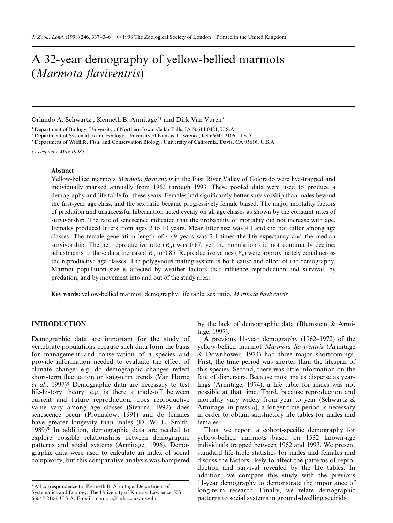# A 32-year demography of yellow-bellied marmots (Marmota flaviventris)

Orlando A. Schwartz<sup>1</sup>, Kenneth B. Armitage<sup>2\*</sup> and Dirk Van Vuren<sup>3</sup>

<sup>1</sup> Department of Biology, University of Northern Iowa, Cedar Falls, IA 50614-0421, U.S.A.

<sup>2</sup> Department of Systematics and Ecology, University of Kansas, Lawrence, KS 66045-2106, U.S.A.

<sup>3</sup> Department of Wildlife, Fish, and Conservation Biology, University of California, Davis, CA 95616, U.S.A.

(Accepted 7 May 1998)

## Abstract

Yellow-bellied marmots *Marmota flaviventris* in the East River Valley of Colorado were live-trapped and individually marked annually from 1962 through 1993. These pooled data were used to produce a demography and life table for these years. Females had significantly better survivorship than males beyond the first-year age class, and the sex ratio became progressively female biased. The major mortality factors of predation and unsuccessful hibernation acted evenly on all age classes as shown by the constant rates of survivorship. The rate of senescence indicated that the probability of mortality did not increase with age. Females produced litters from ages 2 to 10 years. Mean litter size was 4.1 and did not differ among age classes. The female generation length of 4.49 years was 2.4 times the life expectancy and the median survivorship. The net reproductive rate  $(R<sub>o</sub>)$  was 0.67, yet the population did not continually decline; adjustments to these data increased  $R_0$  to 0.85. Reproductive values  $(V_x)$  were approximately equal across the reproductive age classes. The polygynous mating system is both cause and effect of the demography. Marmot population size is affected by weather factors that influence reproduction and survival, by predation, and by movement into and out of the study area.

Key words: yellow-bellied marmot, demography, life table, sex ratio, Marmota flaviventris

# INTRODUCTION

Demographic data are important for the study of vertebrate populations because such data form the basis for management and conservation of a species and provide information needed to evaluate the effect of climate change: e.g. do demographic changes reflect short-term fluctuation or long-term trends (Van Horne et al., 1997)? Demographic data are necessary to test life-history theory: e.g. is there a trade-off between current and future reproduction, does reproductive value vary among age classes (Stearns, 1992), does senescence occur (Promislow, 1991) and do females have greater longevity than males (D. W. E. Smith, 1989)? In addition, demographic data are needed to explore possible relationships between demographic patterns and social systems (Armitage, 1996). Demographic data were used to calculate an index of social complexity, but this comparative analysis was hampered

by the lack of demographic data (Blumstein & Armitage, 1997).

A previous 11-year demography  $(1962-1972)$  of the yellow-bellied marmot Marmota flaviventris (Armitage & Downhower, 1974) had three major shortcomings. First, the time period was shorter than the lifespan of this species. Second, there was little information on the fate of dispersers. Because most males disperse as yearlings (Armitage, 1974), a life table for males was not possible at that time. Third, because reproduction and mortality vary widely from year to year (Schwartz & Armitage, in press a), a longer time period is necessary in order to obtain satisfactory life tables for males and females.

Thus, we report a cohort-specific demography for yellow-bellied marmots based on 1532 known-age individuals trapped between 1962 and 1993. We present standard life-table statistics for males and females and discuss the factors likely to affect the patterns of reproduction and survival revealed by the life tables. In addition, we compare this study with the previous 11-year demography to demonstrate the importance of long-term research. Finally, we relate demographic patterns to social systems in ground-dwelling scuirids.

<sup>\*</sup>All correspondence to: Kenneth B. Armitage, Department of Systematics and Ecology, The University of Kansas, Lawrence, KS 66045-2106, U.S.A. E-mail: mamots@lark.cc.ukans.edu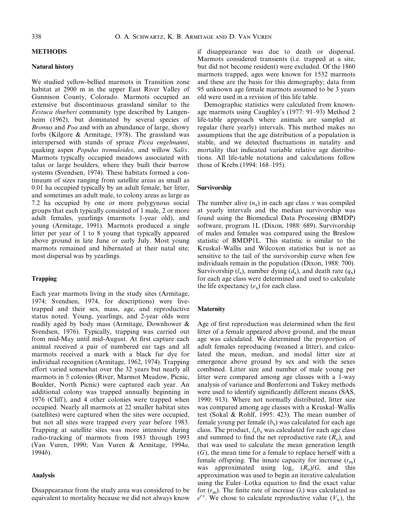## METHODS

## Natural history

We studied yellow-bellied marmots in Transition zone habitat at 2900 m in the upper East River Valley of Gunnison County, Colorado. Marmots occupied an extensive but discontinuous grassland similar to the Festuca thurberi community type described by Langenheim (1962), but dominated by several species of Bromus and Poa and with an abundance of large, showy forbs (Kilgore & Armitage, 1978). The grassland was interspersed with stands of spruce Picea engelmanni, quaking aspen Populus tremuloides, and willow Salix. Marmots typically occupied meadows associated with talus or large boulders, where they built their burrow systems (Svendsen, 1974). These habitats formed a continuum of sizes ranging from satellite areas as small as 0.01 ha occupied typically by an adult female, her litter, and sometimes an adult male, to colony areas as large as 7.2 ha occupied by one or more polygynous social groups that each typically consisted of 1 male, 2 or more adult females, yearlings (marmots 1-year old), and young (Armitage, 1991). Marmots produced a single litter per year of 1 to 8 young that typically appeared above ground in late June or early July. Most young marmots remained and hibernated at their natal site; most dispersal was by yearlings.

# Trapping

Each year marmots living in the study sites (Armitage, 1974; Svendsen, 1974, for descriptions) were livetrapped and their sex, mass, age, and reproductive status noted. Young, yearlings, and 2-year olds were readily aged by body mass (Armitage, Downhower & Svendsen, 1976). Typically, trapping was carried out from mid-May until mid-August. At first capture each animal received a pair of numbered ear tags and all marmots received a mark with a black fur dye for individual recognition (Armitage, 1962, 1974). Trapping effort varied somewhat over the 32 years but nearly all marmots in 5 colonies (River, Marmot Meadow, Picnic, Boulder, North Picnic) were captured each year. An additional colony was trapped annually beginning in 1976 (Cliff ), and 4 other colonies were trapped when occupied. Nearly all marmots at 22 smaller habitat sites (satellites) were captured when the sites were occupied, but not all sites were trapped every year before 1983. Trapping at satellite sites was more intensive during radio-tracking of marmots from 1983 through 1993 (Van Vuren, 1990; Van Vuren & Armitage, 1994a,  $1994b$ ).

## Analysis

Disappearance from the study area was considered to be equivalent to mortality because we did not always know

if disappearance was due to death or dispersal. Marmots considered transients (i.e. trapped at a site, but did not become resident) were excluded. Of the 1860 marmots trapped, ages were known for 1532 marmots and these are the basis for this demography; data from 95 unknown age female marmots assumed to be 3 years old were used in a revision of this life table.

Demographic statistics were calculated from knownage marmots using Caughley's (1977: 91-93) Method 2 life-table approach where animals are sampled at regular (here yearly) intervals. This method makes no assumptions that the age distribution of a population is stable, and we detected fluctuations in natality and mortality that indicated variable relative age distributions. All life-table notations and calculations follow those of Krebs  $(1994: 168-195)$ .

## Survivorship

The number alive  $(n_x)$  in each age class x was compiled at yearly intervals and the median survivorship was found using the Biomedical Data Processing (BMDP) software, program 1L (Dixon, 1988: 689). Survivorship of males and females was compared using the Breslow statistic of BMDP1L. This statistic is similar to the Kruskal±Wallis and Wilcoxon statistics but is not as sensitive to the tail of the survivorship curve when few individuals remain in the population (Dixon, 1988: 700). Survivorship  $(l_x)$ , number dying  $(d_x)$ , and death rate  $(q_x)$ for each age class were determined and used to calculate the life expectancy  $(e_x)$  for each class.

# **Maternity**

Age of first reproduction was determined when the first litter of a female appeared above ground, and the mean age was calculated. We determined the proportion of adult females reproducing (weaned a litter), and calculated the mean, median, and modal litter size at emergence above ground by sex and with the sexes combined. Litter size and number of male young per litter were compared among age classes with a 1-way analysis of variance and Bonferroni and Tukey methods were used to identify significantly different means (SAS, 1990: 913). Where not normally distributed, litter size was compared among age classes with a Kruskal–Wallis test (Sokal & Rohlf, 1995: 423). The mean number of female young per female  $(b_x)$  was calculated for each age class. The product,  $l_xb_x$  was calculated for each age class and summed to find the net reproductive rate  $(R_0)$ , and that was used to calculate the mean generation length (G), the mean time for a female to replace herself with a female offspring. The innate capacity for increase  $(r<sub>m</sub>)$ was approximated using  $log_e$   $(R_o)/G$ , and this approximation was used to begin an iterative calculation using the Euler-Lotka equation to find the exact value for  $(r_m)$ . The finite rate of increase ( $\lambda$ ) was calculated as  $e^{rx}$ . We chose to calculate reproductive value  $(V_x)$ , the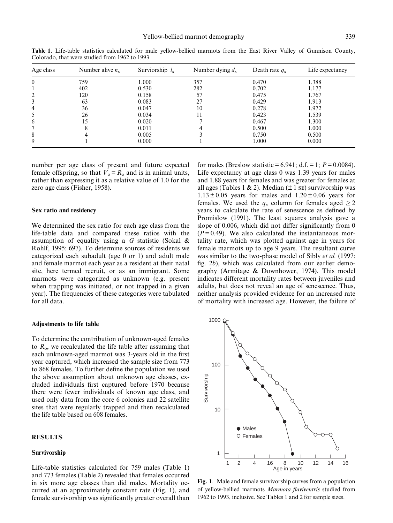| Age class | Number alive $n_x$ | Surviorship $l_{x}$ | Number dying $d_{x}$ | Death rate $q_x$ | Life expectancy |
|-----------|--------------------|---------------------|----------------------|------------------|-----------------|
| $\theta$  | 759                | 1.000               | 357                  | 0.470            | 1.388           |
|           | 402                | 0.530               | 282                  | 0.702            | 1.177           |
|           | 120                | 0.158               | 57                   | 0.475            | 1.767           |
|           | 63                 | 0.083               | 27                   | 0.429            | 1.913           |
| 4         | 36                 | 0.047               | 10                   | 0.278            | 1.972           |
|           | 26                 | 0.034               | 11                   | 0.423            | 1.539           |
| 6         | 15                 | 0.020               |                      | 0.467            | 1.300           |
|           | δ                  | 0.011               |                      | 0.500            | 1.000           |
| 8         | 4                  | 0.005               |                      | 0.750            | 0.500           |
| 9         |                    | 0.000               |                      | 1.000            | 0.000           |

Table 1. Life-table statistics calculated for male yellow-bellied marmots from the East River Valley of Gunnison County, Colorado, that were studied from 1962 to 1993

number per age class of present and future expected female offspring, so that  $V_0 = R_0$  and is in animal units, rather than expressing it as a relative value of 1.0 for the zero age class (Fisher, 1958).

### Sex ratio and residency

We determined the sex ratio for each age class from the life-table data and compared these ratios with the assumption of equality using a G statistic (Sokal & Rohlf, 1995: 697). To determine sources of residents we categorized each subadult (age 0 or 1) and adult male and female marmot each year as a resident at their natal site, here termed recruit, or as an immigrant. Some marmots were categorized as unknown (e.g. present when trapping was initiated, or not trapped in a given year). The frequencies of these categories were tabulated for all data.

#### Adjustments to life table

To determine the contribution of unknown-aged females to  $R_0$ , we recalculated the life table after assuming that each unknown-aged marmot was 3-years old in the first year captured, which increased the sample size from 773 to 868 females. To further define the population we used the above assumption about unknown age classes, excluded individuals first captured before 1970 because there were fewer individuals of known age class, and used only data from the core 6 colonies and 22 satellite sites that were regularly trapped and then recalculated the life table based on 608 females.

# RESULTS

#### Survivorship

Life-table statistics calculated for 759 males (Table 1) and 773 females (Table 2) revealed that females occurred in six more age classes than did males. Mortality occurred at an approximately constant rate (Fig. 1), and female survivorship was significantly greater overall than

for males (Breslow statistic = 6.941; d.f. = 1;  $P = 0.0084$ ). Life expectancy at age class 0 was 1.39 years for males and 1.88 years for females and was greater for females at all ages (Tables 1 & 2). Median ( $\pm$  1 se) survivorship was  $1.13 \pm 0.05$  years for males and  $1.20 \pm 0.06$  years for females. We used the  $q_x$  column for females aged  $\geq 2$ years to calculate the rate of senescence as defined by Promislow (1991). The least squares analysis gave a slope of 0.006, which did not differ significantly from  $0$  $(P= 0.49)$ . We also calculated the instantaneous mortality rate, which was plotted against age in years for female marmots up to age 9 years. The resultant curve was similar to the two-phase model of Sibly *et al.* (1997: fig.  $2b$ ), which was calculated from our earlier demography (Armitage & Downhower, 1974). This model indicates different mortality rates between juveniles and adults, but does not reveal an age of senescence. Thus, neither analysis provided evidence for an increased rate of mortality with increased age. However, the failure of



Fig. 1. Male and female survivorship curves from a population of yellow-bellied marmots Marmota flaviventris studied from 1962 to 1993, inclusive. See Tables 1 and 2 for sample sizes.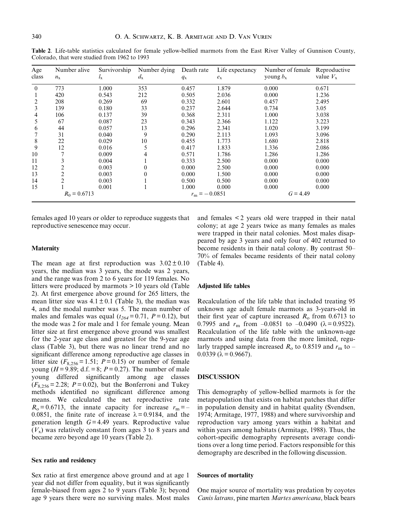| Age<br>class   | Number alive<br>$n_{\rm x}$ | Survivorship<br>$l_{\rm X}$ | Number dying<br>$d_{\rm x}$ | Death rate<br>$q_{\rm x}$ | Life expectancy<br>$e_{x}$ | Number of female<br>young $b_x$ | Reproductive<br>value $V_{x}$ |
|----------------|-----------------------------|-----------------------------|-----------------------------|---------------------------|----------------------------|---------------------------------|-------------------------------|
| $\theta$       | 773                         | 1.000                       | 353                         | 0.457                     | 1.879                      | 0.000                           | 0.671                         |
|                | 420                         | 0.543                       | 212                         | 0.505                     | 2.036                      | 0.000                           | 1.236                         |
|                | 208                         | 0.269                       | 69                          | 0.332                     | 2.601                      | 0.457                           | 2.495                         |
| 3              | 139                         | 0.180                       | 33                          | 0.237                     | 2.644                      | 0.734                           | 3.05                          |
| 4              | 106                         | 0.137                       | 39                          | 0.368                     | 2.311                      | 1.000                           | 3.038                         |
| 5              | 67                          | 0.087                       | 23                          | 0.343                     | 2.366                      | 1.122                           | 3.223                         |
| 6              | 44                          | 0.057                       | 13                          | 0.296                     | 2.341                      | 1.020                           | 3.199                         |
|                | 31                          | 0.040                       | 9                           | 0.290                     | 2.113                      | 1.093                           | 3.096                         |
| 8              | 22                          | 0.029                       | 10                          | 0.455                     | 1.773                      | 1.680                           | 2.818                         |
| 9              | 12                          | 0.016                       | 5                           | 0.417                     | 1.833                      | 1.336                           | 2.086                         |
| 10             |                             | 0.009                       | 4                           | 0.571                     | 1.786                      | 1.286                           | 1.286                         |
| 11             |                             | 0.004                       |                             | 0.333                     | 2.500                      | 0.000                           | 0.000                         |
| 12             |                             | 0.003                       | $\overline{0}$              | 0.000                     | 2.500                      | 0.000                           | 0.000                         |
| 13             |                             | 0.003                       | $\theta$                    | 0.000                     | 1.500                      | 0.000                           | 0.000                         |
| 14             |                             | 0.003                       |                             | 0.500                     | 0.500                      | 0.000                           | 0.000                         |
| 15             |                             | 0.001                       |                             | 1.000                     | 0.000                      | 0.000                           | 0.000                         |
| $R_0 = 0.6713$ |                             |                             |                             | $r_{\rm m} = -0.0851$     |                            | $G = 4.49$                      |                               |

Table 2. Life-table statistics calculated for female yellow-bellied marmots from the East River Valley of Gunnison County, Colorado, that were studied from 1962 to 1993

females aged 10 years or older to reproduce suggests that reproductive senescence may occur.

#### Maternity

The mean age at first reproduction was  $3.02 \pm 0.10$ years, the median was 3 years, the mode was 2 years, and the range was from 2 to 6 years for 119 females. No litters were produced by marmots > 10 years old (Table 2). At first emergence above ground for 265 litters, the mean litter size was  $4.1 \pm 0.1$  (Table 3), the median was 4, and the modal number was 5. The mean number of males and females was equal  $(t_{264}= 0.71, P = 0.12)$ , but the mode was 2 for male and 1 for female young. Mean litter size at first emergence above ground was smallest for the 2-year age class and greatest for the 9-year age class (Table 3), but there was no linear trend and no significant difference among reproductive age classes in litter size  $(F_{8,256} = 1.51; P = 0.15)$  or number of female young ( $H = 9.89$ ; d.f. = 8;  $P = 0.27$ ). The number of male young differed significantly among age classes  $(F_{8,256} = 2.28; P = 0.02)$ , but the Bonferroni and Tukey methods identified no significant difference among means. We calculated the net reproductive rate  $R_o = 0.6713$ , the innate capacity for increase  $r_m = -$ 0.0851, the finite rate of increase  $\lambda = 0.9184$ , and the generation length  $G = 4.49$  years. Reproductive value  $(V_x)$  was relatively constant from ages 3 to 8 years and became zero beyond age 10 years (Table 2).

## Sex ratio and residency

Sex ratio at first emergence above ground and at age 1 year did not differ from equality, but it was significantly female-biased from ages 2 to 9 years (Table 3); beyond age 9 years there were no surviving males. Most males and females < 2 years old were trapped in their natal colony; at age 2 years twice as many females as males were trapped in their natal colonies. Most males disappeared by age 3 years and only four of 402 returned to become residents in their natal colony. By contrast 50– 70% of females became residents of their natal colony (Table 4).

## Adjusted life tables

Recalculation of the life table that included treating 95 unknown age adult female marmots as 3-years-old in their first year of capture increased  $R_0$  from 0.6713 to 0.7995 and  $r_{\rm m}$  from  $-0.0851$  to  $-0.0490$  ( $\lambda = 0.9522$ ). Recalculation of the life table with the unknown-age marmots and using data from the more limited, regularly trapped sample increased  $R_0$  to 0.8519 and  $r<sub>m</sub>$  to  $0.0339$  ( $\lambda$  = 0.9667).

# DISCUSSION

This demography of yellow-bellied marmots is for the metapopulation that exists on habitat patches that differ in population density and in habitat quality (Svendsen, 1974; Armitage, 1977, 1988) and where survivorship and reproduction vary among years within a habitat and within years among habitats (Armitage, 1988). Thus, the cohort-specific demography represents average conditions over a long time period. Factors responsible for this demography are described in the following discussion.

#### Sources of mortality

One major source of mortality was predation by coyotes Canis latrans, pine marten Martes americana, black bears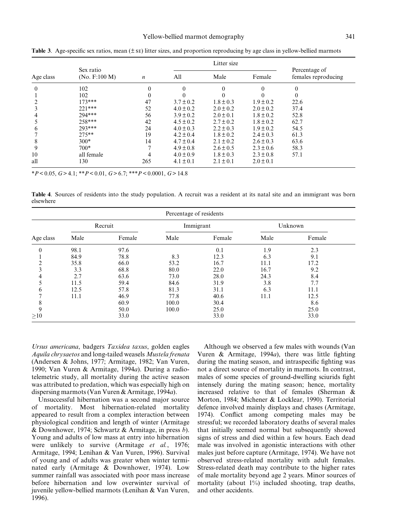|                |                            |                  | Litter size   |               |               |                                      |  |
|----------------|----------------------------|------------------|---------------|---------------|---------------|--------------------------------------|--|
| Age class      | Sex ratio<br>(No. F:100 M) | $\boldsymbol{n}$ | All           | Male          | Female        | Percentage of<br>females reproducing |  |
| $\overline{0}$ | 102                        |                  | $\theta$      | 0             | $\theta$      |                                      |  |
|                | 102                        | $\Omega$         |               | 0             |               | 0                                    |  |
| 2              | $173***$                   | 47               | $3.7 \pm 0.2$ | $1.8 \pm 0.3$ | $1.9 \pm 0.2$ | 22.6                                 |  |
| 3              | $221***$                   | 52               | $4.0 \pm 0.2$ | $2.0 \pm 0.2$ | $2.0 \pm 0.2$ | 37.4                                 |  |
| 4              | 294***                     | 56               | $3.9 \pm 0.2$ | $2.0 \pm 0.1$ | $1.8 \pm 0.2$ | 52.8                                 |  |
| 5              | 258***                     | 42               | $4.5 \pm 0.2$ | $2.7 \pm 0.2$ | $1.8 \pm 0.2$ | 62.7                                 |  |
| 6              | 293***                     | 24               | $4.0 \pm 0.3$ | $2.2 \pm 0.3$ | $1.9 \pm 0.2$ | 54.5                                 |  |
|                | $275**$                    | 19               | $4.2 \pm 0.4$ | $1.8 \pm 0.2$ | $2.4 \pm 0.3$ | 61.3                                 |  |
| 8              | $300*$                     | 14               | $4.7 \pm 0.4$ | $2.1 \pm 0.2$ | $2.6 \pm 0.3$ | 63.6                                 |  |
| 9              | $700*$                     |                  | $4.9 \pm 0.8$ | $2.6 \pm 0.5$ | $2.3 \pm 0.6$ | 58.3                                 |  |
| 10             | all female                 |                  | $4.0 \pm 0.9$ | $1.8 \pm 0.3$ | $2.3 \pm 0.8$ | 57.1                                 |  |
| all            | 130                        | 265              | $4.1 \pm 0.1$ | $2.1 \pm 0.1$ | $2.0 \pm 0.1$ |                                      |  |

Table 3. Age-specific sex ratios, mean  $(\pm s)$  litter sizes, and proportion reproducing by age class in yellow-bellied marmots

 $*P < 0.05, G > 4.1; **P < 0.01, G > 6.7; **P < 0.0001, G > 14.8$ 

Table 4. Sources of residents into the study population. A recruit was a resident at its natal site and an immigrant was born elsewhere

|           | Recruit |        | Immigrant |        | Unknown |        |  |
|-----------|---------|--------|-----------|--------|---------|--------|--|
| Age class | Male    | Female | Male      | Female | Male    | Female |  |
| $\theta$  | 98.1    | 97.6   |           | 0.1    | 1.9     | 2.3    |  |
|           | 84.9    | 78.8   | 8.3       | 12.3   | 6.3     | 9.1    |  |
|           | 35.8    | 66.0   | 53.2      | 16.7   | 11.1    | 17.2   |  |
| 3         | 3.3     | 68.8   | 80.0      | 22.0   | 16.7    | 9.2    |  |
| 4         | 2.7     | 63.6   | 73.0      | 28.0   | 24.3    | 8.4    |  |
|           | 11.5    | 59.4   | 84.6      | 31.9   | 3.8     | 7.7    |  |
| 6         | 12.5    | 57.8   | 81.3      | 31.1   | 6.3     | 11.1   |  |
|           | 11.1    | 46.9   | 77.8      | 40.6   | 11.1    | 12.5   |  |
| 8         |         | 60.9   | 100.0     | 30.4   |         | 8.6    |  |
| 9         |         | 50.0   | 100.0     | 25.0   |         | 25.0   |  |
| >10       |         | 33.0   |           | 33.0   |         | 33.0   |  |

Ursus americana, badgers Taxidea taxus, golden eagles Aquila chrysaetos and long-tailed weasels Mustela frenata (Andersen & Johns, 1977; Armitage, 1982; Van Vuren, 1990; Van Vuren & Armitage, 1994a). During a radiotelemetric study, all mortality during the active season was attributed to predation, which was especially high on dispersing marmots (Van Vuren & Armitage, 1994a).

Unsuccessful hibernation was a second major source of mortality. Most hibernation-related mortality appeared to result from a complex interaction between physiological condition and length of winter (Armitage & Downhower, 1974; Schwartz & Armitage, in press b). Young and adults of low mass at entry into hibernation were unlikely to survive (Armitage et al., 1976; Armitage, 1994; Lenihan & Van Vuren, 1996). Survival of young and of adults was greater when winter terminated early (Armitage & Downhower, 1974). Low summer rainfall was associated with poor mass increase before hibernation and low overwinter survival of juvenile yellow-bellied marmots (Lenihan & Van Vuren, 1996).

Although we observed a few males with wounds (Van Vuren & Armitage, 1994 $a$ ), there was little fighting during the mating season, and intraspecific fighting was not a direct source of mortality in marmots. In contrast, males of some species of ground-dwelling sciurids fight intensely during the mating season; hence, mortality increased relative to that of females (Sherman & Morton, 1984; Michener & Locklear, 1990). Territorial defence involved mainly displays and chases (Armitage, 1974). Conflict among competing males may be stressful; we recorded laboratory deaths of several males that initially seemed normal but subsequently showed signs of stress and died within a few hours. Each dead male was involved in agonistic interactions with other males just before capture (Armitage, 1974). We have not observed stress-related mortality with adult females. Stress-related death may contribute to the higher rates of male mortality beyond age 2 years. Minor sources of mortality (about  $1\%$ ) included shooting, trap deaths, and other accidents.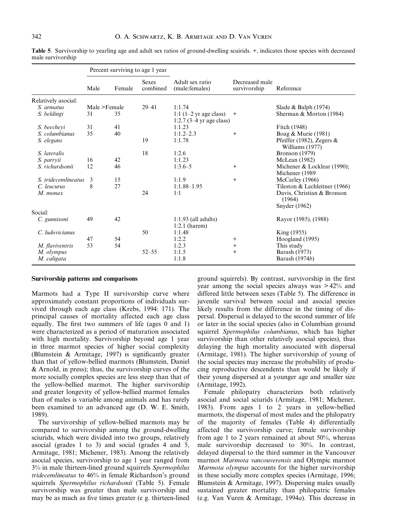|                        | Percent surviving to age 1 year |        |                          |                                                                        |                                |                                                 |
|------------------------|---------------------------------|--------|--------------------------|------------------------------------------------------------------------|--------------------------------|-------------------------------------------------|
|                        | Male                            | Female | <b>Sexes</b><br>combined | Adult sex ratio<br>(male: females)                                     | Decreased male<br>survivorship | Reference                                       |
| Relatively asocial:    |                                 |        |                          |                                                                        |                                |                                                 |
| S. armatus             | Male >Female                    |        | $29 - 41$                | 1:1.74                                                                 |                                | Slade & Balph $(1974)$                          |
| S. beldingi            | 31                              | 35     |                          | 1:1 $(1-2 \text{ yr age class})$<br>1:2.7 $(3-4 \text{ yr age class})$ | $^{+}$                         | Sherman & Morton (1984)                         |
| S. beecheyi            | 31                              | 41     |                          | 1:1.23                                                                 |                                | Fitch (1948)                                    |
| S. columbianus         | 35                              | 40     |                          | $1:1.2-2.3$                                                            | $+$                            | Boag & Murie (1981)                             |
| S. elegans             |                                 |        | 19                       | 1:1.78                                                                 |                                | Pfeiffer (1982), Zegers $\&$<br>Williams (1977) |
| S. lateralis           |                                 |        | 18                       | 1:2.6                                                                  |                                | <b>Bronson</b> (1979)                           |
| S. parryii             | 16                              | 42     |                          | 1:1.23                                                                 |                                | McLean (1982)                                   |
| S. richardsonii        | 12                              | 46     |                          | $1:3.6 - 5$                                                            | $+$                            | Michener & Locklear (1990);<br>Michener (1989   |
| S. tridecemlineatus    | 3                               | 15     |                          | 1:1.9                                                                  | $+$                            | McCarley (1966)                                 |
| C. leucurus            | 8                               | 27     |                          | $1:1.88 - 1.95$                                                        |                                | Tileston & Lechleitner (1966)                   |
| M. monax               |                                 |        | 24                       | 1:1                                                                    |                                | Davis, Christian & Bronson<br>(1964)            |
|                        |                                 |        |                          |                                                                        |                                | Snyder $(1962)$                                 |
| Social:                |                                 |        |                          |                                                                        |                                |                                                 |
| C. gunnisoni           | 49                              | 42     |                          | $1:1.93$ (all adults)<br>$1:2.1$ (harem)                               |                                | Rayor (1985), (1988)                            |
| C. <i>ludovicianus</i> |                                 |        | 50                       | 1:1.48                                                                 |                                | King (1955)                                     |
|                        | 47                              | 54     |                          | 1:2.2                                                                  | $\ddot{}$                      | Hoogland (1995)                                 |
| M. flaviventris        | 53                              | 54     |                          | 1:2.3                                                                  | $^{+}$                         | This study                                      |
| M. olympus             |                                 |        | $52 - 55$                | 1:1.5                                                                  | $+$                            | Barash (1973)                                   |
| M. caligata            |                                 |        |                          | 1:1.8                                                                  |                                | Barash (1974b)                                  |

Table 5. Survivorship to yearling age and adult sex ratios of ground-dwelling scuirids. +, indicates those species with decreased male survivorship

### Survivorship patterns and comparisons

Marmots had a Type II survivorship curve where approximately constant proportions of individuals survived through each age class (Krebs, 1994: 171). The principal causes of mortality affected each age class equally. The first two summers of life (ages  $0$  and  $1$ ) were characterized as a period of maturation associated with high mortality. Survivorship beyond age 1 year in three marmot species of higher social complexity (Blumstein & Armitage, 1997) is significantly greater than that of yellow-bellied marmots (Blumstein, Daniel & Arnold, in press); thus, the survivorship curves of the more socially complex species are less steep than that of the yellow-bellied marmot. The higher survivorship and greater longevity of yellow-bellied marmot females than of males is variable among animals and has rarely been examined to an advanced age (D. W. E. Smith, 1989).

The survivorship of yellow-bellied marmots may be compared to survivorship among the ground-dwelling sciurids, which were divided into two groups, relatively asocial (grades 1 to 3) and social (grades 4 and 5, Armitage, 1981; Michener, 1983). Among the relatively asocial species, survivorship to age 1 year ranged from 3% in male thirteen-lined ground squirrels Spermophilus tridecemlineatus to 46% in female Richardson's ground squirrels Spermophilus richardsonii (Table 5). Female survivorship was greater than male survivorship and may be as much as five times greater (e g. thirteen-lined

ground squirrels). By contrast, survivorship in the first year among the social species always was > 42% and differed little between sexes (Table 5). The difference in juvenile survival between social and asocial species likely results from the difference in the timing of dispersal. Dispersal is delayed to the second summer of life or later in the social species (also in Columbian ground squirrel Spermophilus columbianus, which has higher survivorship than other relatively asocial species), thus delaying the high mortality associated with dispersal (Armitage, 1981). The higher survivorship of young of the social species may increase the probability of producing reproductive descendents than would be likely if their young dispersed at a younger age and smaller size (Armitage, 1992).

Female philopatry characterizes both relatively asocial and social sciurids (Armitage, 1981; Michener, 1983). From ages 1 to 2 years in yellow-bellied marmots, the dispersal of most males and the philopatry of the majority of females (Table 4) differentially affected the survivorship curve; female survivorship from age 1 to 2 years remained at about 50%, whereas male survivorship decreased to 30%. In contrast, delayed dispersal to the third summer in the Vancouver marmot Marmota vancouverensis and Olympic marmot Marmota olympus accounts for the higher survivorship in these socially more complex species (Armitage, 1996; Blumstein & Armitage, 1997). Dispersing males usually sustained greater mortality than philopatric females (e.g. Van Vuren & Armitage, 1994a). This decrease in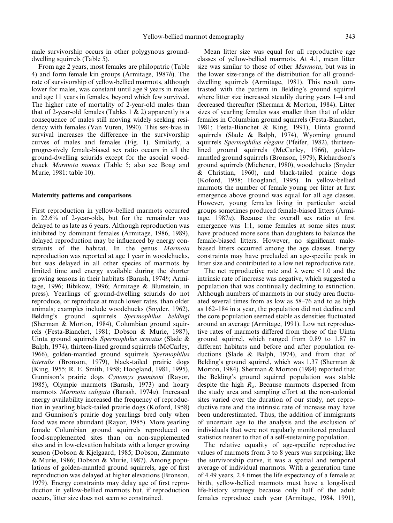male survivorship occurs in other polygynous grounddwelling squirrels (Table 5).

From age 2 years, most females are philopatric (Table 4) and form female kin groups (Armitage, 1987b). The rate of survivorship of yellow-bellied marmots, although lower for males, was constant until age 9 years in males and age 11 years in females, beyond which few survived. The higher rate of mortality of 2-year-old males than that of 2-year-old females (Tables 1  $\&$  2) apparently is a consequence of males still moving widely seeking residency with females (Van Vuren, 1990). This sex-bias in survival increases the difference in the survivorship curves of males and females (Fig. 1). Similarly, a progressively female-biased sex ratio occurs in all the ground-dwelling sciurids except for the asocial woodchuck Marmota monax (Table 5; also see Boag and Murie, 1981: table 10).

## Maternity patterns and comparisons

First reproduction in yellow-bellied marmots occurred in 22.6% of 2-year-olds, but for the remainder was delayed to as late as 6 years. Although reproduction was inhibited by dominant females (Armitage, 1986, 1989), delayed reproduction may be influenced by energy constraints of the habitat. In the genus Marmota reproduction was reported at age 1 year in woodchucks, but was delayed in all other species of marmots by limited time and energy available during the shorter growing seasons in their habitats (Barash, 1974b; Armitage, 1996; Bibikow, 1996; Armitage & Blumstein, in press). Yearlings of ground-dwelling sciurids do not reproduce, or reproduce at much lower rates, than older animals; examples include woodchucks (Snyder, 1962), Belding's ground squirrels Spermophilus beldingi (Sherman & Morton, 1984), Columbian ground squirrels (Festa-Bianchet, 1981; Dobson & Murie, 1987), Uinta ground squirrels Spermophilus armatus (Slade & Balph, 1974), thirteen-lined ground squirrels (McCarley, 1966), golden-mantled ground squirrels Spermophilus lateralis (Bronson, 1979), black-tailed prairie dogs (King, 1955; R. E. Smith, 1958; Hoogland, 1981, 1995), Gunnison's prairie dogs Cynomys gunnisoni (Rayor, 1985), Olympic marmots (Barash, 1973) and hoary marmots Marmota caligata (Barash, 1974a). Increased energy availability increased the frequency of reproduction in yearling black-tailed prairie dogs (Koford, 1958) and Gunnison's prairie dog yearlings bred only when food was more abundant (Rayor, 1985). More yearling female Columbian ground squirrels reproduced on food-supplemented sites than on non-supplemented sites and in low-elevation habitats with a longer growing season (Dobson & Kjelgaard, 1985; Dobson, Zammuto & Murie, 1986; Dobson & Murie, 1987). Among populations of golden-mantled ground squirrels, age of first reproduction was delayed at higher elevations (Bronson, 1979). Energy constraints may delay age of first reproduction in yellow-bellied marmots but, if reproduction occurs, litter size does not seem so constrained.

Mean litter size was equal for all reproductive age classes of yellow-bellied marmots. At 4.1, mean litter size was similar to those of other Marmota, but was in the lower size-range of the distribution for all grounddwelling squirrels (Armitage, 1981). This result contrasted with the pattern in Belding's ground squirrel where litter size increased steadily during years 1–4 and decreased thereafter (Sherman & Morton, 1984). Litter sizes of yearling females was smaller than that of older females in Columbian ground squirrels (Festa-Bianchet, 1981; Festa-Bianchet & King, 1991), Uinta ground squirrels (Slade & Balph, 1974), Wyoming ground squirrels Spermophilus elegans (Pfeifer, 1982), thirteenlined ground squirrels (McCarley, 1966), goldenmantled ground squirrels (Bronson, 1979), Richardson's ground squirrels (Michener, 1980), woodchucks (Snyder & Christian, 1960), and black-tailed prairie dogs (Koford, 1958; Hoogland, 1995). In yellow-bellied marmots the number of female young per litter at first emergence above ground was equal for all age classes. However, young females living in particular social groups sometimes produced female-biased litters (Armitage,  $1987a$ ). Because the overall sex ratio at first emergence was 1:1, some females at some sites must have produced more sons than daughters to balance the female-biased litters. However, no significant malebiased litters occurred among the age classes. Energy constraints may have precluded an age-specific peak in litter size and contributed to a low net reproductive rate.

The net reproductive rate and  $\lambda$  were  $\leq 1.0$  and the intrinsic rate of increase was negative, which suggested a population that was continually declining to extinction. Although numbers of marmots in our study area fluctuated several times from as low as  $58-76$  and to as high as 162±184 in a year, the population did not decline and the core population seemed stable as densities fluctuated around an average (Armitage, 1991). Low net reproductive rates of marmots differed from those of the Uinta ground squirrel, which ranged from 0.89 to 1.87 in different habitats and before and after population reductions (Slade & Balph, 1974), and from that of Belding's ground squirrel, which was 1.37 (Sherman & Morton, 1984). Sherman & Morton (1984) reported that the Belding's ground squirrel population was stable despite the high  $R_0$ . Because marmots dispersed from the study area and sampling effort at the non-colonial sites varied over the duration of our study, net reproductive rate and the intrinsic rate of increase may have been underestimated. Thus, the addition of immigrants of uncertain age to the analysis and the exclusion of individuals that were not regularly monitored produced statistics nearer to that of a self-sustaining population.

The relative equality of age-specific reproductive values of marmots from 3 to 8 years was surprising; like the survivorship curve, it was a spatial and temporal average of individual marmots. With a generation time of 4.49 years, 2.4 times the life expectancy of a female at birth, yellow-bellied marmots must have a long-lived life-history strategy because only half of the adult females reproduce each year (Armitage, 1984, 1991),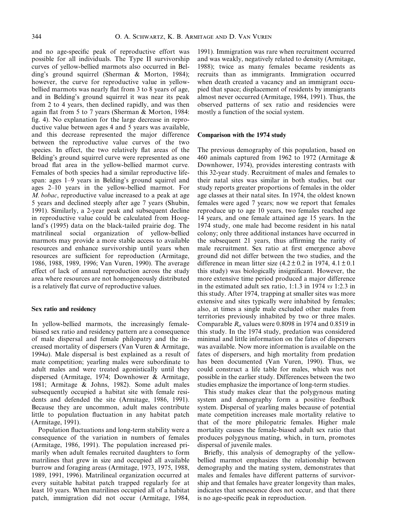and no age-specific peak of reproductive effort was possible for all individuals. The Type II survivorship curves of yellow-bellied marmots also occurred in Belding's ground squirrel (Sherman & Morton, 1984); however, the curve for reproductive value in yellowbellied marmots was nearly flat from 3 to 8 years of age, and in Belding's ground squirrel it was near its peak from 2 to 4 years, then declined rapidly, and was then again flat from 5 to 7 years (Sherman & Morton, 1984: fig. 4). No explanation for the large decrease in reproductive value between ages 4 and 5 years was available, and this decrease represented the major difference between the reproductive value curves of the two species. In effect, the two relatively flat areas of the Belding's ground squirrel curve were represented as one broad flat area in the yellow-bellied marmot curve. Females of both species had a similar reproductive lifespan: ages 1–9 years in Belding's ground squirrel and ages 2±10 years in the yellow-bellied marmot. For M. bobac, reproductive value increased to a peak at age 5 years and declined steeply after age 7 years (Shubin, 1991). Similarly, a 2-year peak and subsequent decline in reproductive value could be calculated from Hoogland's (1995) data on the black-tailed prairie dog. The matrilineal social organization of yellow-bellied marmots may provide a more stable access to available resources and enhance survivorship until years when resources are sufficient for reproduction (Armitage, 1986, 1988, 1989, 1996; Van Vuren, 1990). The average effect of lack of annual reproduction across the study area where resources are not homogeneously distributed is a relatively flat curve of reproductive values.

# Sex ratio and residency

In yellow-bellied marmots, the increasingly femalebiased sex ratio and residency pattern are a consequence of male dispersal and female philopatry and the increased mortality of dispersers (Van Vuren & Armitage, 1994a). Male dispersal is best explained as a result of mate competition; yearling males were subordinate to adult males and were treated agonistically until they dispersed (Armitage, 1974; Downhower & Armitage, 1981; Armitage & Johns, 1982). Some adult males subsequently occupied a habitat site with female residents and defended the site (Armitage, 1986, 1991). Because they are uncommon, adult males contribute little to population fluctuation in any habitat patch (Armitage, 1991).

Population fluctuations and long-term stability were a consequence of the variation in numbers of females (Armitage, 1986, 1991). The population increased primarily when adult females recruited daughters to form matrilines that grew in size and occupied all available burrow and foraging areas (Armitage, 1973, 1975, 1988, 1989, 1991, 1996). Matrilineal organization occurred at every suitable habitat patch trapped regularly for at least 10 years. When matrilines occupied all of a habitat patch, immigration did not occur (Armitage, 1984,

1991). Immigration was rare when recruitment occurred and was weakly, negatively related to density (Armitage, 1988); twice as many females became residents as recruits than as immigrants. Immigration occurred when death created a vacancy and an immigrant occupied that space; displacement of residents by immigrants almost never occurred (Armitage, 1984, 1991). Thus, the observed patterns of sex ratio and residencies were mostly a function of the social system.

#### Comparison with the 1974 study

The previous demography of this population, based on 460 animals captured from 1962 to 1972 (Armitage & Downhower, 1974), provides interesting contrasts with this 32-year study. Recruitment of males and females to their natal sites was similar in both studies, but our study reports greater proportions of females in the older age classes at their natal sites. In 1974, the oldest known females were aged 7 years; now we report that females reproduce up to age 10 years, two females reached age 14 years, and one female attained age 15 years. In the 1974 study, one male had become resident in his natal colony; only three additional instances have occurred in the subsequent 21 years, thus affirming the rarity of male recruitment. Sex ratio at first emergence above ground did not differ between the two studies, and the difference in mean litter size  $(4.2 \pm 0.2 \text{ in } 1974, 4.1 \pm 0.1)$ this study) was biologically insignificant. However, the more extensive time period produced a major difference in the estimated adult sex ratio, 1:1.3 in 1974 vs 1:2.3 in this study. After 1974, trapping at smaller sites was more extensive and sites typically were inhabited by females; also, at times a single male excluded other males from territories previously inhabited by two or three males. Comparable  $R_0$  values were 0.8098 in 1974 and 0.8519 in this study. In the 1974 study, predation was considered minimal and little information on the fates of dispersers was available. Now more information is available on the fates of dispersers, and high mortality from predation has been documented (Van Vuren, 1990). Thus, we could construct a life table for males, which was not possible in the earlier study. Differences between the two studies emphasize the importance of long-term studies.

This study makes clear that the polygynous mating system and demography form a positive feedback system. Dispersal of yearling males because of potential mate competition increases male mortality relative to that of the more philopatric females. Higher male mortality causes the female-biased adult sex ratio that produces polygynous mating, which, in turn, promotes dispersal of juvenile males.

Briefly, this analysis of demography of the yellowbellied marmot emphasizes the relationship between demography and the mating system, demonstrates that males and females have different patterns of survivorship and that females have greater longevity than males, indicates that senescence does not occur, and that there is no age-specific peak in reproduction.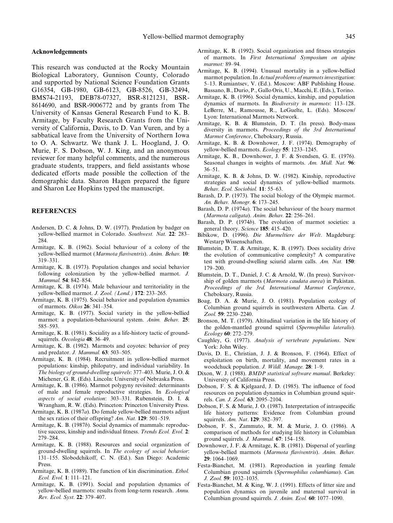#### Acknowledgemnents

This research was conducted at the Rocky Mountain Biological Laboratory, Gunnison County, Colorado and supported by National Science Foundation Grants G16354, GB-1980, GB-6123, GB-8526, GB-32494, BMS74-21193, DEB78-07327, BSR-8121231, BSR-8614690, and BSR-9006772 and by grants from The University of Kansas General Research Fund to K. B. Armitage, by Faculty Research Grants from the University of California, Davis, to D. Van Vuren, and by a sabbatical leave from the University of Northern Iowa to O. A. Schwartz. We thank J. L. Hoogland, J. O. Murie, F. S. Dobson, W. J. King, and an anonymous reviewer for many helpful comments, and the numerous graduate students, trappers, and field assistants whose dedicated efforts made possible the collection of the demographic data. Sharon Hagen prepared the figure and Sharon Lee Hopkins typed the manuscript.

# REFERENCES

- Andersen, D. C. & Johns, D. W. (1977). Predation by badger on yellow-bellied marmot in Colorado. Southwest. Nat. 22: 283-284.
- Armitage, K. B. (1962). Social behaviour of a colony of the yellow-bellied marmot (Marmota flaviventris). Anim. Behav. 10: 319±331.
- Armitage, K. B. (1973). Population changes and social behavior following colonization by the yellow-bellied marmot. J. Mammal. 54: 842-854.
- Armitage, K. B. (1974). Male behaviour and territoriality in the yellow-bellied marmot. J. Zool. (Lond.) 172: 233-265.
- Armitage, K. B. (1975). Social behavior and population dynamics of marmots. Oikos 26: 341-354.
- Armitage, K. B. (1977). Social variety in the yellow-bellied marmot: a population-behavioural system. Anim. Behav. 25: 585±593.
- Armitage, K. B. (1981). Sociality as a life-history tactic of groundsquirrels. Oecologia 48: 36-49.
- Armitage, K. B. (1982). Marmots and coyotes: behavior of prey and predator. J. Mammal.  $63:503-505$ .
- Armitage, K. B. (1984). Recruitment in yellow-bellied marmot populations: kinship, philopatry, and individual variability. In The biology of ground-dwelling squirrels:  $377-403$ . Murie, J.O. & Michener, G. R. (Eds). Lincoln: University of Nebraska Press.
- Armitage, K. B. (1986). Marmot polygyny revisited: determinants of male and female reproductive strategies. In Ecological aspects of social evolution: 303-331. Rubenstein, D. I. & Wrangham, R. W. (Eds). Princeton: Princeton University Press.
- Armitage, K. B. (1987a). Do female yellow-bellied marmots adjust the sex ratios of their offspring? Am. Nat.  $129: 501-519$ .
- Armitage, K. B. (1987b). Social dynamics of mammals: reproductive success, kinship and individual fitness. Trends Ecol. Evol. 2: 279±284.
- Armitage, K. B. (1988). Resources and social organization of ground-dwelling squirrels. In The ecology of social behavior: 131±155. Slobodchikoff, C. N. (Ed.). San Diego: Academic Press.
- Armitage, K. B. (1989). The function of kin discrimination. Ethol. Ecol. Evol. 1: 111-121.
- Armitage, K. B. (1991). Social and population dynamics of yellow-bellied marmots: results from long-term research. Annu. Rev. Ecol. Syst. 22: 379-407.
- Armitage, K. B. (1992). Social organization and fitness strategies of marmots. In First International Symposium on alpine marmot: 89-94.
- Armitage, K. B. (1994). Unusual mortality in a yellow-bellied marmot population. In Actual problems of marmots investigation: 5-13. Rumiantsev, V. (Ed.). Moscow: ABF Publishing House. Bassano, B., Durio, P., Gallo Oris, U., Macchi, E. (Eds.), Torino.
- Armitage, K. B. (1996). Social dynamics, kinship, and population dynamics of marmots. In *Biodiversity in marmots*: 113-128. LeBerre, M., Ramousse, R., LeGuelte, L. (Eds). Moscow/ Lyon: International Marmots Network.
- Armitage, K. B. & Blumstein, D. T. (In press). Body-mass diversity in marmots. Proceedings of the 3rd International Marmot Conference, Cheboksary, Russia.
- Armitage, K. B. & Downhower, J. F. (1974). Demography of yellow-bellied marmots. Ecology 55: 1233-1245.
- Armitage, K. B., Downhower, J. F. & Svendsen, G. E. (1976). Seasonal changes in weights of marmots. Am. Midl. Nat. 96:  $36-51.$
- Armitage, K. B. & Johns, D. W. (1982). Kinship, reproductive strategies and social dynamics of yellow-bellied marmots. Behav. Ecol. Sociobiol. 11: 55-63.
- Barash, D. P. (1973). The social biology of the Olympic marmot. An. Behav. Monogr. 6: 173-245.
- Barash, D. P. (1974a). The social behaviour of the hoary marmot (Marmota caligata). Anim. Behav.  $22: 256-261$ .
- Barash, D. P. (1974b). The evolution of marmot societies: a general theory. Science 185: 415-420.
- Bibikow, D. (1996). Die Murmeltiere der Welt. Magdeburg: Westarp Wissenschaften.
- Blumstein, D. T. & Armitage, K. B. (1997). Does sociality drive the evolution of communicative complexity? A comparative test with ground-dwelling sciurid alarm calls. Am. Nat. 150: 179±200.
- Blumstein, D. T., Daniel, J. C. & Arnold, W. (In press). Survivorship of golden marmots (Marmota caudata aurea) in Pakistan. Proceedings of the 3rd. International Marmot Conference, Cheboksary, Russia.
- Boag, D. A. & Murie, J. O. (1981). Population ecology of Columbian ground squirrels in southwestern Alberta. Can. J. Zool. 59: 2230-2240.
- Bronson, M. T. (1979). Altitudinal variation in the life history of the golden-mantled ground squirrel (Spermophilus lateralis). Ecology 60: 272-279.
- Caughley, G. (1977). Analysis of vertebrate populations. New York: John Wiley.
- Davis, D. E., Christian, J. J. & Bronson, F. (1964). Effect of exploitation on birth, mortality, and movement rates in a woodchuck population. J. Wildl. Manage. 28: 1-9.
- Dixon, W. J. (1988). BMDP statistical software manual. Berkeley: University of California Press.
- Dobson, F. S. & Kjelgaard, J. D. (1985). The influence of food resources on population dynamics in Columbian ground squirrels. Can. J. Zool. 63: 2095-2104.
- Dobson, F. S. & Murie, J. O. (1987). Interpretation of intraspecific life history patterns: Evidence from Columbian ground squirrels. Am. Nat. 129: 382-397.
- Dobson, F. S., Zammuto, R. M. & Murie, J. O. (1986). A comparison of methods for studying life history in Columbian ground squirrels. J. Mammal. 67: 154-158.
- Downhower, J. F. & Armitage, K. B. (1981). Dispersal of yearling yellow-bellied marmots (Marmota flaviventris). Anim. Behav. 29: 1064-1069.
- Festa-Bianchet, M. (1981). Reproduction in yearling female Columbian ground squirrels (Spermophilus columbianus). Can. J. Zool. **59**: 1032–1035.
- Festa-Bianchet, M. & King, W. J. (1991). Effects of litter size and population dynamics on juvenile and maternal survival in Columbian ground squirrels. J. Anim. Ecol. 60: 1077-1090.